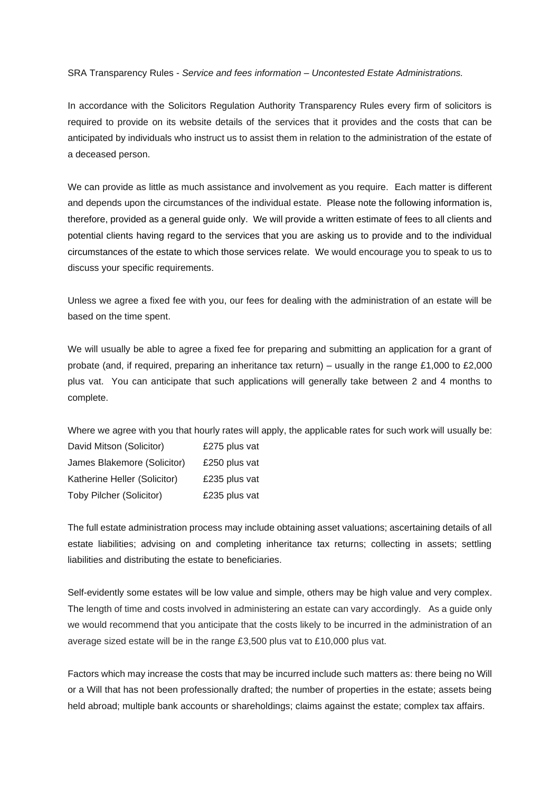SRA Transparency Rules - *Service and fees information – Uncontested Estate Administrations.* 

In accordance with the Solicitors Regulation Authority Transparency Rules every firm of solicitors is required to provide on its website details of the services that it provides and the costs that can be anticipated by individuals who instruct us to assist them in relation to the administration of the estate of a deceased person.

We can provide as little as much assistance and involvement as you require. Each matter is different and depends upon the circumstances of the individual estate. Please note the following information is, therefore, provided as a general guide only. We will provide a written estimate of fees to all clients and potential clients having regard to the services that you are asking us to provide and to the individual circumstances of the estate to which those services relate. We would encourage you to speak to us to discuss your specific requirements.

Unless we agree a fixed fee with you, our fees for dealing with the administration of an estate will be based on the time spent.

We will usually be able to agree a fixed fee for preparing and submitting an application for a grant of probate (and, if required, preparing an inheritance tax return) – usually in the range £1,000 to £2,000 plus vat. You can anticipate that such applications will generally take between 2 and 4 months to complete.

Where we agree with you that hourly rates will apply, the applicable rates for such work will usually be: David Mitson (Solicitor) £275 plus vat James Blakemore (Solicitor) £250 plus vat Katherine Heller (Solicitor) £235 plus vat Toby Pilcher (Solicitor) £235 plus vat

The full estate administration process may include obtaining asset valuations; ascertaining details of all estate liabilities; advising on and completing inheritance tax returns; collecting in assets; settling liabilities and distributing the estate to beneficiaries.

Self-evidently some estates will be low value and simple, others may be high value and very complex. The length of time and costs involved in administering an estate can vary accordingly. As a guide only we would recommend that you anticipate that the costs likely to be incurred in the administration of an average sized estate will be in the range £3,500 plus vat to £10,000 plus vat.

Factors which may increase the costs that may be incurred include such matters as: there being no Will or a Will that has not been professionally drafted; the number of properties in the estate; assets being held abroad; multiple bank accounts or shareholdings; claims against the estate; complex tax affairs.